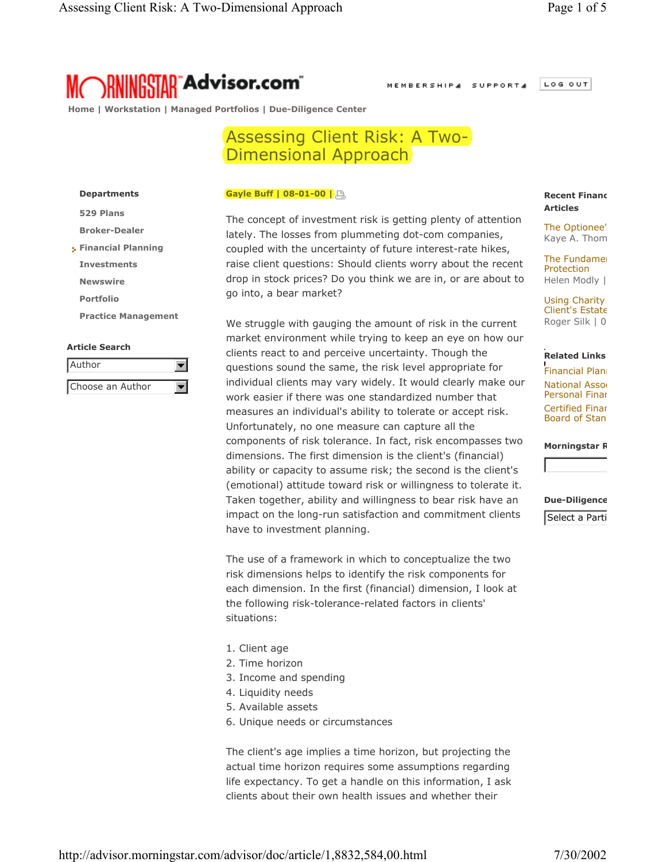LOG OUT

MEMBERSHIP4 SUPPORT4



 $\blacktriangledown$  $\blacktriangledown$ 

 **Home | Workstation | Managed Portfolios | Due-Diligence Center**

# Assessing Client Risk: A Two-Dimensional Approach

### **Departments**

**Practice Management**

**529 Plans Broker-Dealer Financial Planning Investments Newswire Portfolio**

**Article Search**

Choose an Author

Author

|  |  |  | Gayle Buff   08-01-00   凸 |  |
|--|--|--|---------------------------|--|
|--|--|--|---------------------------|--|

The concept of investment risk is getting plenty of attention lately. The losses from plummeting dot-com companies, coupled with the uncertainty of future interest-rate hikes, raise client questions: Should clients worry about the recent drop in stock prices? Do you think we are in, or are about to go into, a bear market?

We struggle with gauging the amount of risk in the current market environment while trying to keep an eye on how our clients react to and perceive uncertainty. Though the questions sound the same, the risk level appropriate for individual clients may vary widely. It would clearly make our work easier if there was one standardized number that measures an individual's ability to tolerate or accept risk. Unfortunately, no one measure can capture all the components of risk tolerance. In fact, risk encompasses two dimensions. The first dimension is the client's (financial) ability or capacity to assume risk; the second is the client's (emotional) attitude toward risk or willingness to tolerate it. Taken together, ability and willingness to bear risk have an impact on the long-run satisfaction and commitment clients have to investment planning.

The use of a framework in which to conceptualize the two risk dimensions helps to identify the risk components for each dimension. In the first (financial) dimension, I look at the following risk-tolerance-related factors in clients' situations:

- 1. Client age
- 2. Time horizon
- 3. Income and spending
- 4. Liquidity needs
- 5. Available assets
- 6. Unique needs or circumstances

The client's age implies a time horizon, but projecting the actual time horizon requires some assumptions regarding life expectancy. To get a handle on this information, I ask clients about their own health issues and whether their

## **Recent Financ Articles**

The Optionee' Kaye A. Thom

**The Fundamen** Protection Helen Modly |

Using Charity Client's Estate Roger Silk | 0

#### **Related Links**

**Financial Plann National Assoc** Personal Finan Certified Finan Board of Stan

**Morningstar R**

## **Due-Diligence**

Select a Parti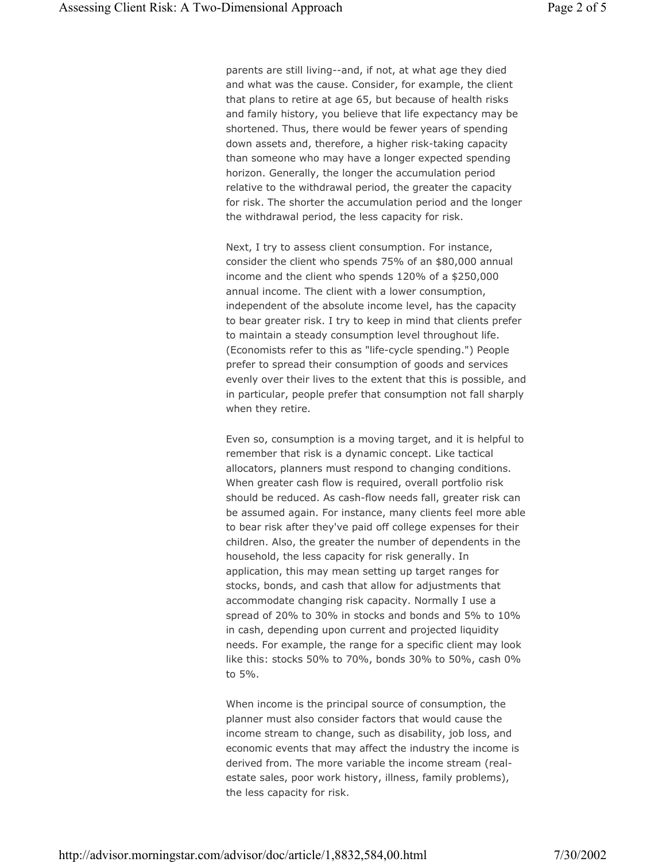parents are still living--and, if not, at what age they died and what was the cause. Consider, for example, the client that plans to retire at age 65, but because of health risks and family history, you believe that life expectancy may be shortened. Thus, there would be fewer years of spending down assets and, therefore, a higher risk-taking capacity than someone who may have a longer expected spending horizon. Generally, the longer the accumulation period relative to the withdrawal period, the greater the capacity for risk. The shorter the accumulation period and the longer the withdrawal period, the less capacity for risk.

Next, I try to assess client consumption. For instance, consider the client who spends 75% of an \$80,000 annual income and the client who spends 120% of a \$250,000 annual income. The client with a lower consumption, independent of the absolute income level, has the capacity to bear greater risk. I try to keep in mind that clients prefer to maintain a steady consumption level throughout life. (Economists refer to this as "life-cycle spending.") People prefer to spread their consumption of goods and services evenly over their lives to the extent that this is possible, and in particular, people prefer that consumption not fall sharply when they retire.

Even so, consumption is a moving target, and it is helpful to remember that risk is a dynamic concept. Like tactical allocators, planners must respond to changing conditions. When greater cash flow is required, overall portfolio risk should be reduced. As cash-flow needs fall, greater risk can be assumed again. For instance, many clients feel more able to bear risk after they've paid off college expenses for their children. Also, the greater the number of dependents in the household, the less capacity for risk generally. In application, this may mean setting up target ranges for stocks, bonds, and cash that allow for adjustments that accommodate changing risk capacity. Normally I use a spread of 20% to 30% in stocks and bonds and 5% to 10% in cash, depending upon current and projected liquidity needs. For example, the range for a specific client may look like this: stocks 50% to 70%, bonds 30% to 50%, cash 0% to 5%.

When income is the principal source of consumption, the planner must also consider factors that would cause the income stream to change, such as disability, job loss, and economic events that may affect the industry the income is derived from. The more variable the income stream (realestate sales, poor work history, illness, family problems), the less capacity for risk.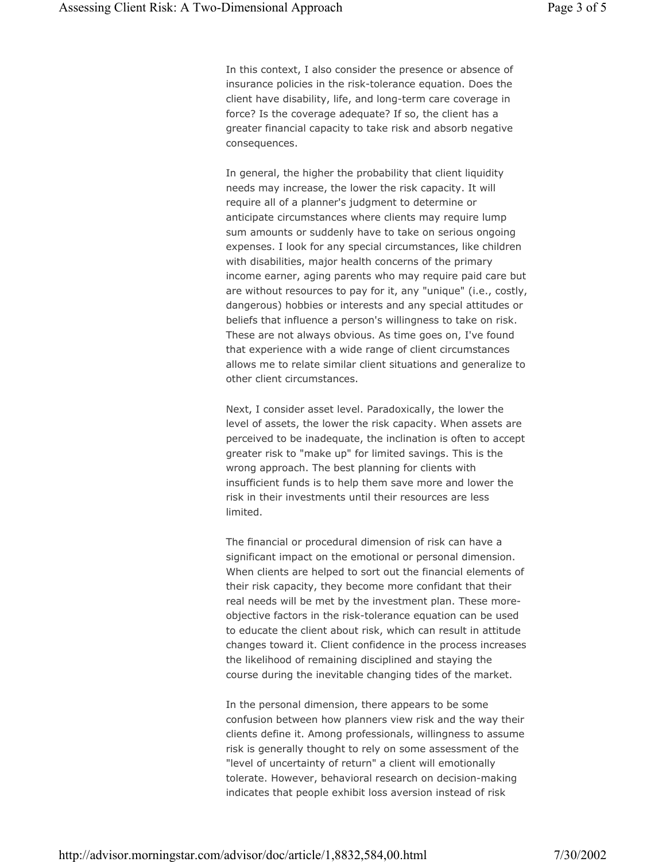In this context, I also consider the presence or absence of insurance policies in the risk-tolerance equation. Does the client have disability, life, and long-term care coverage in force? Is the coverage adequate? If so, the client has a greater financial capacity to take risk and absorb negative consequences.

In general, the higher the probability that client liquidity needs may increase, the lower the risk capacity. It will require all of a planner's judgment to determine or anticipate circumstances where clients may require lump sum amounts or suddenly have to take on serious ongoing expenses. I look for any special circumstances, like children with disabilities, major health concerns of the primary income earner, aging parents who may require paid care but are without resources to pay for it, any "unique" (i.e., costly, dangerous) hobbies or interests and any special attitudes or beliefs that influence a person's willingness to take on risk. These are not always obvious. As time goes on, I've found that experience with a wide range of client circumstances allows me to relate similar client situations and generalize to other client circumstances.

Next, I consider asset level. Paradoxically, the lower the level of assets, the lower the risk capacity. When assets are perceived to be inadequate, the inclination is often to accept greater risk to "make up" for limited savings. This is the wrong approach. The best planning for clients with insufficient funds is to help them save more and lower the risk in their investments until their resources are less limited.

The financial or procedural dimension of risk can have a significant impact on the emotional or personal dimension. When clients are helped to sort out the financial elements of their risk capacity, they become more confidant that their real needs will be met by the investment plan. These moreobjective factors in the risk-tolerance equation can be used to educate the client about risk, which can result in attitude changes toward it. Client confidence in the process increases the likelihood of remaining disciplined and staying the course during the inevitable changing tides of the market.

In the personal dimension, there appears to be some confusion between how planners view risk and the way their clients define it. Among professionals, willingness to assume risk is generally thought to rely on some assessment of the "level of uncertainty of return" a client will emotionally tolerate. However, behavioral research on decision-making indicates that people exhibit loss aversion instead of risk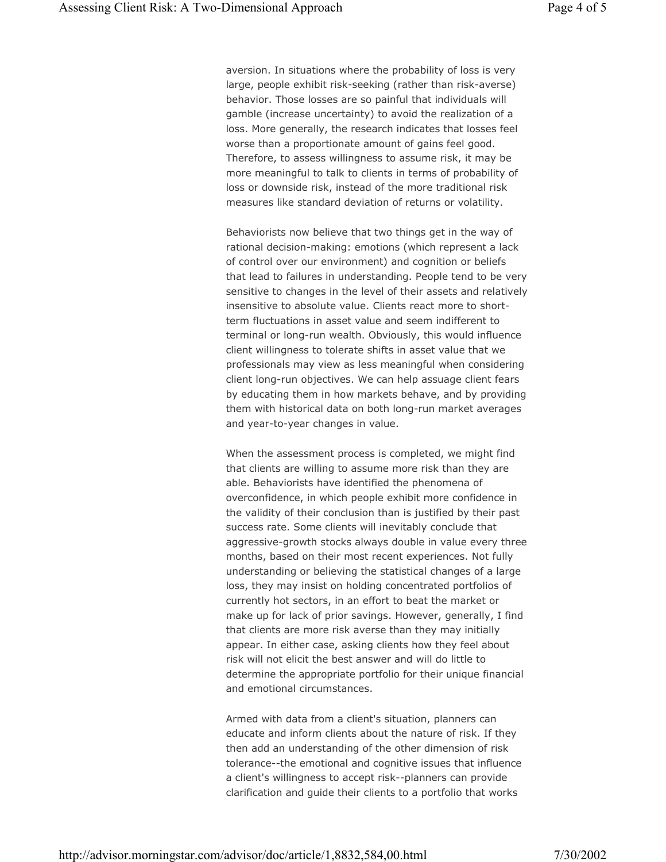aversion. In situations where the probability of loss is very large, people exhibit risk-seeking (rather than risk-averse) behavior. Those losses are so painful that individuals will gamble (increase uncertainty) to avoid the realization of a loss. More generally, the research indicates that losses feel worse than a proportionate amount of gains feel good. Therefore, to assess willingness to assume risk, it may be more meaningful to talk to clients in terms of probability of loss or downside risk, instead of the more traditional risk measures like standard deviation of returns or volatility.

Behaviorists now believe that two things get in the way of rational decision-making: emotions (which represent a lack of control over our environment) and cognition or beliefs that lead to failures in understanding. People tend to be very sensitive to changes in the level of their assets and relatively insensitive to absolute value. Clients react more to shortterm fluctuations in asset value and seem indifferent to terminal or long-run wealth. Obviously, this would influence client willingness to tolerate shifts in asset value that we professionals may view as less meaningful when considering client long-run objectives. We can help assuage client fears by educating them in how markets behave, and by providing them with historical data on both long-run market averages and year-to-year changes in value.

When the assessment process is completed, we might find that clients are willing to assume more risk than they are able. Behaviorists have identified the phenomena of overconfidence, in which people exhibit more confidence in the validity of their conclusion than is justified by their past success rate. Some clients will inevitably conclude that aggressive-growth stocks always double in value every three months, based on their most recent experiences. Not fully understanding or believing the statistical changes of a large loss, they may insist on holding concentrated portfolios of currently hot sectors, in an effort to beat the market or make up for lack of prior savings. However, generally, I find that clients are more risk averse than they may initially appear. In either case, asking clients how they feel about risk will not elicit the best answer and will do little to determine the appropriate portfolio for their unique financial and emotional circumstances.

Armed with data from a client's situation, planners can educate and inform clients about the nature of risk. If they then add an understanding of the other dimension of risk tolerance--the emotional and cognitive issues that influence a client's willingness to accept risk--planners can provide clarification and guide their clients to a portfolio that works